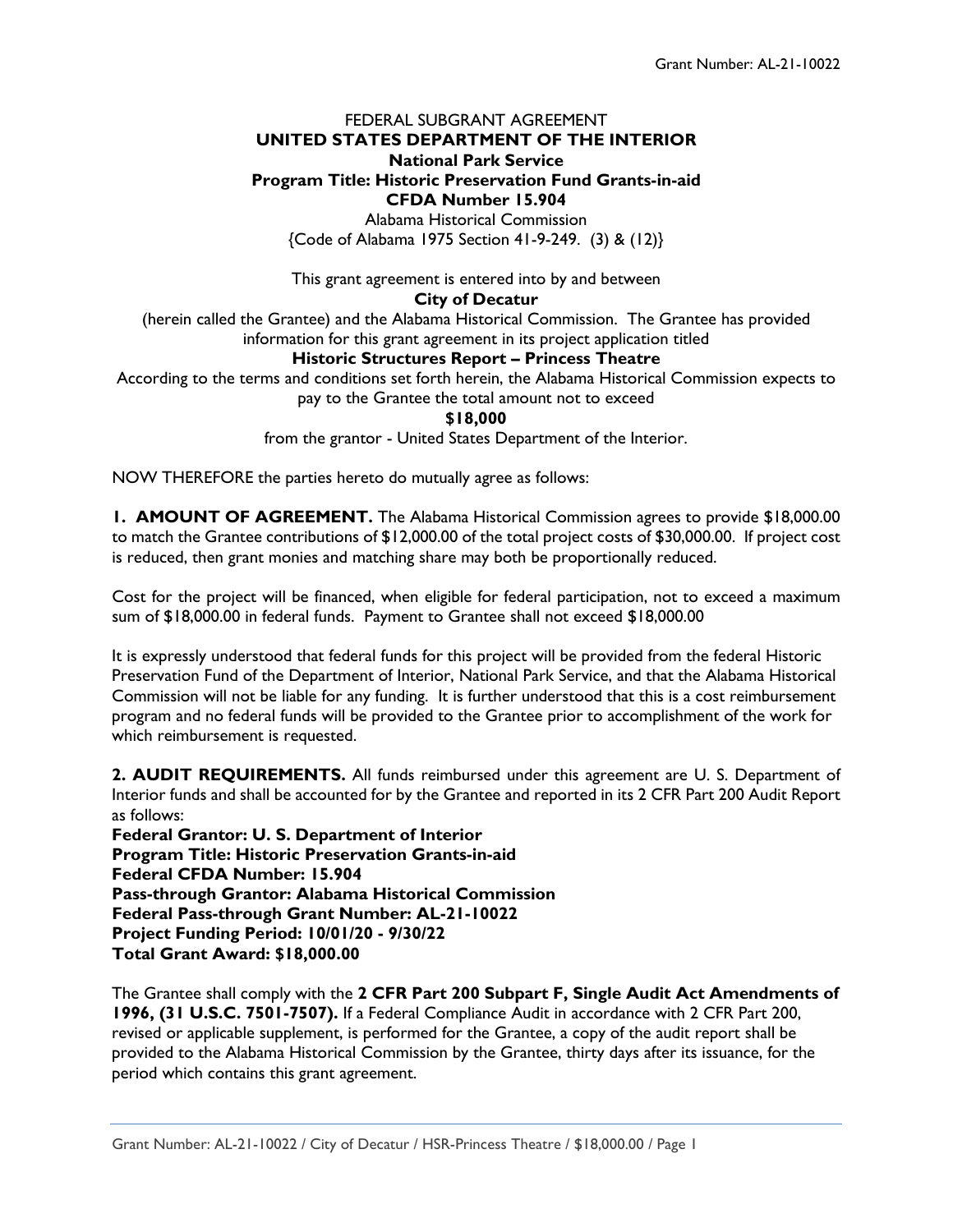# FEDERAL SUBGRANT AGREEMENT **UNITED STATES DEPARTMENT OF THE INTERIOR National Park Service Program Title: Historic Preservation Fund Grants-in-aid CFDA Number 15.904**

Alabama Historical Commission {Code of Alabama 1975 Section 41-9-249. (3) & (12)}

This grant agreement is entered into by and between **City of Decatur**

(herein called the Grantee) and the Alabama Historical Commission. The Grantee has provided information for this grant agreement in its project application titled

# **Historic Structures Report – Princess Theatre**

According to the terms and conditions set forth herein, the Alabama Historical Commission expects to

pay to the Grantee the total amount not to exceed

#### **\$18,000**

from the grantor - United States Department of the Interior.

NOW THEREFORE the parties hereto do mutually agree as follows:

**1. AMOUNT OF AGREEMENT.** The Alabama Historical Commission agrees to provide \$18,000.00 to match the Grantee contributions of \$12,000.00 of the total project costs of \$30,000.00. If project cost is reduced, then grant monies and matching share may both be proportionally reduced.

Cost for the project will be financed, when eligible for federal participation, not to exceed a maximum sum of \$18,000.00 in federal funds. Payment to Grantee shall not exceed \$18,000.00

It is expressly understood that federal funds for this project will be provided from the federal Historic Preservation Fund of the Department of Interior, National Park Service, and that the Alabama Historical Commission will not be liable for any funding. It is further understood that this is a cost reimbursement program and no federal funds will be provided to the Grantee prior to accomplishment of the work for which reimbursement is requested.

**2. AUDIT REQUIREMENTS.** All funds reimbursed under this agreement are U. S. Department of Interior funds and shall be accounted for by the Grantee and reported in its 2 CFR Part 200 Audit Report as follows:

**Federal Grantor: U. S. Department of Interior Program Title: Historic Preservation Grants-in-aid Federal CFDA Number: 15.904 Pass-through Grantor: Alabama Historical Commission Federal Pass-through Grant Number: AL-21-10022 Project Funding Period: 10/01/20 - 9/30/22 Total Grant Award: \$18,000.00**

The Grantee shall comply with the **2 CFR Part 200 Subpart F, Single Audit Act Amendments of 1996, (31 U.S.C. 7501-7507).** If a Federal Compliance Audit in accordance with 2 CFR Part 200, revised or applicable supplement, is performed for the Grantee, a copy of the audit report shall be provided to the Alabama Historical Commission by the Grantee, thirty days after its issuance, for the period which contains this grant agreement.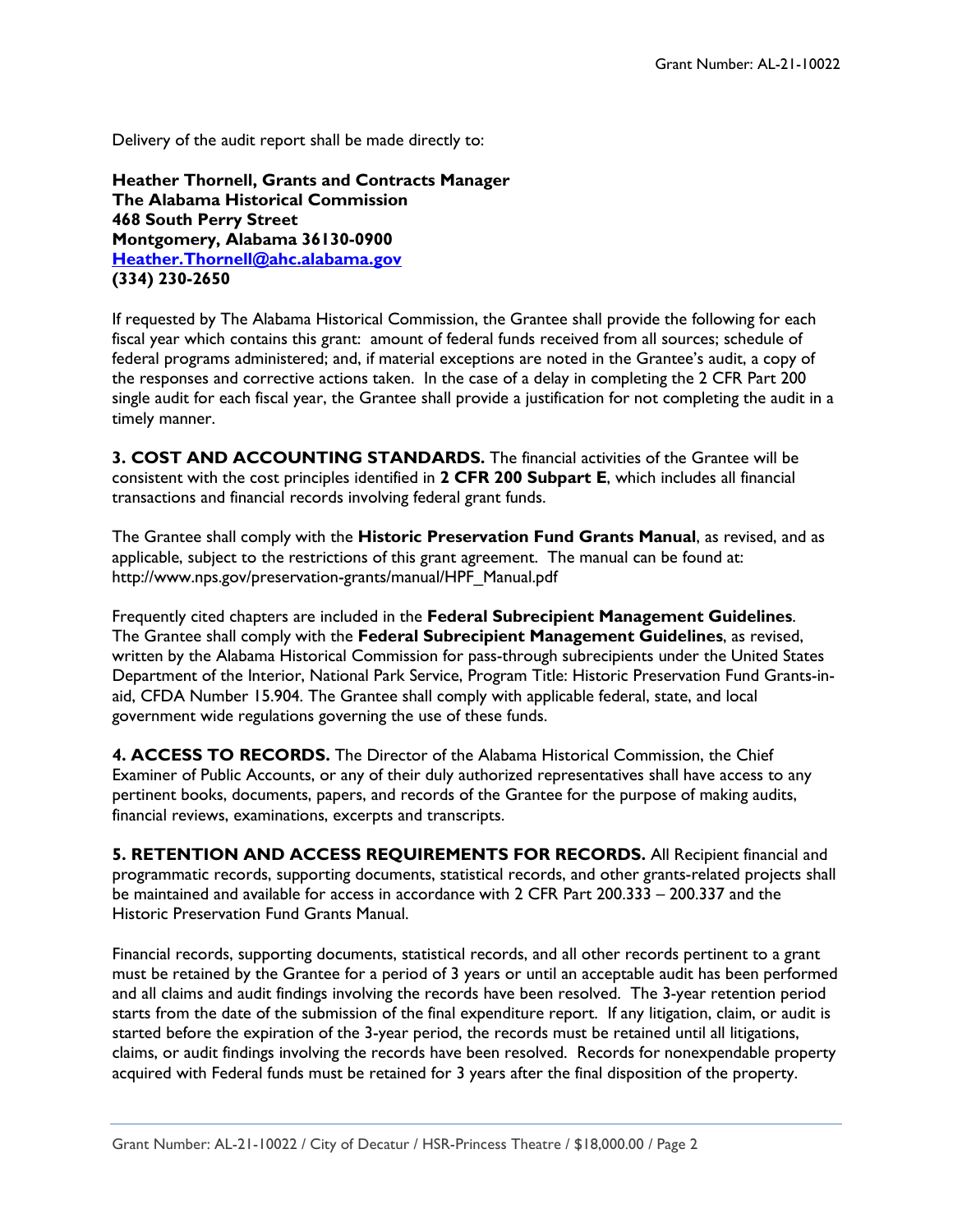Delivery of the audit report shall be made directly to:

**Heather Thornell, Grants and Contracts Manager The Alabama Historical Commission 468 South Perry Street Montgomery, Alabama 36130-0900 [Heather.Thornell@ahc.alabama.gov](mailto:Heather.Thornell@ahc.alabama.gov) (334) 230-2650**

If requested by The Alabama Historical Commission, the Grantee shall provide the following for each fiscal year which contains this grant: amount of federal funds received from all sources; schedule of federal programs administered; and, if material exceptions are noted in the Grantee's audit, a copy of the responses and corrective actions taken. In the case of a delay in completing the 2 CFR Part 200 single audit for each fiscal year, the Grantee shall provide a justification for not completing the audit in a timely manner.

**3. COST AND ACCOUNTING STANDARDS.** The financial activities of the Grantee will be consistent with the cost principles identified in **2 CFR 200 Subpart E**, which includes all financial transactions and financial records involving federal grant funds.

The Grantee shall comply with the **Historic Preservation Fund Grants Manual**, as revised, and as applicable, subject to the restrictions of this grant agreement. The manual can be found at: http://www.nps.gov/preservation-grants/manual/HPF\_Manual.pdf

Frequently cited chapters are included in the **Federal Subrecipient Management Guidelines**. The Grantee shall comply with the **Federal Subrecipient Management Guidelines**, as revised, written by the Alabama Historical Commission for pass-through subrecipients under the United States Department of the Interior, National Park Service, Program Title: Historic Preservation Fund Grants-inaid, CFDA Number 15.904. The Grantee shall comply with applicable federal, state, and local government wide regulations governing the use of these funds.

**4. ACCESS TO RECORDS.** The Director of the Alabama Historical Commission, the Chief Examiner of Public Accounts, or any of their duly authorized representatives shall have access to any pertinent books, documents, papers, and records of the Grantee for the purpose of making audits, financial reviews, examinations, excerpts and transcripts.

**5. RETENTION AND ACCESS REQUIREMENTS FOR RECORDS.** All Recipient financial and programmatic records, supporting documents, statistical records, and other grants-related projects shall be maintained and available for access in accordance with 2 CFR Part 200.333 – 200.337 and the Historic Preservation Fund Grants Manual.

Financial records, supporting documents, statistical records, and all other records pertinent to a grant must be retained by the Grantee for a period of 3 years or until an acceptable audit has been performed and all claims and audit findings involving the records have been resolved. The 3-year retention period starts from the date of the submission of the final expenditure report. If any litigation, claim, or audit is started before the expiration of the 3-year period, the records must be retained until all litigations, claims, or audit findings involving the records have been resolved. Records for nonexpendable property acquired with Federal funds must be retained for 3 years after the final disposition of the property.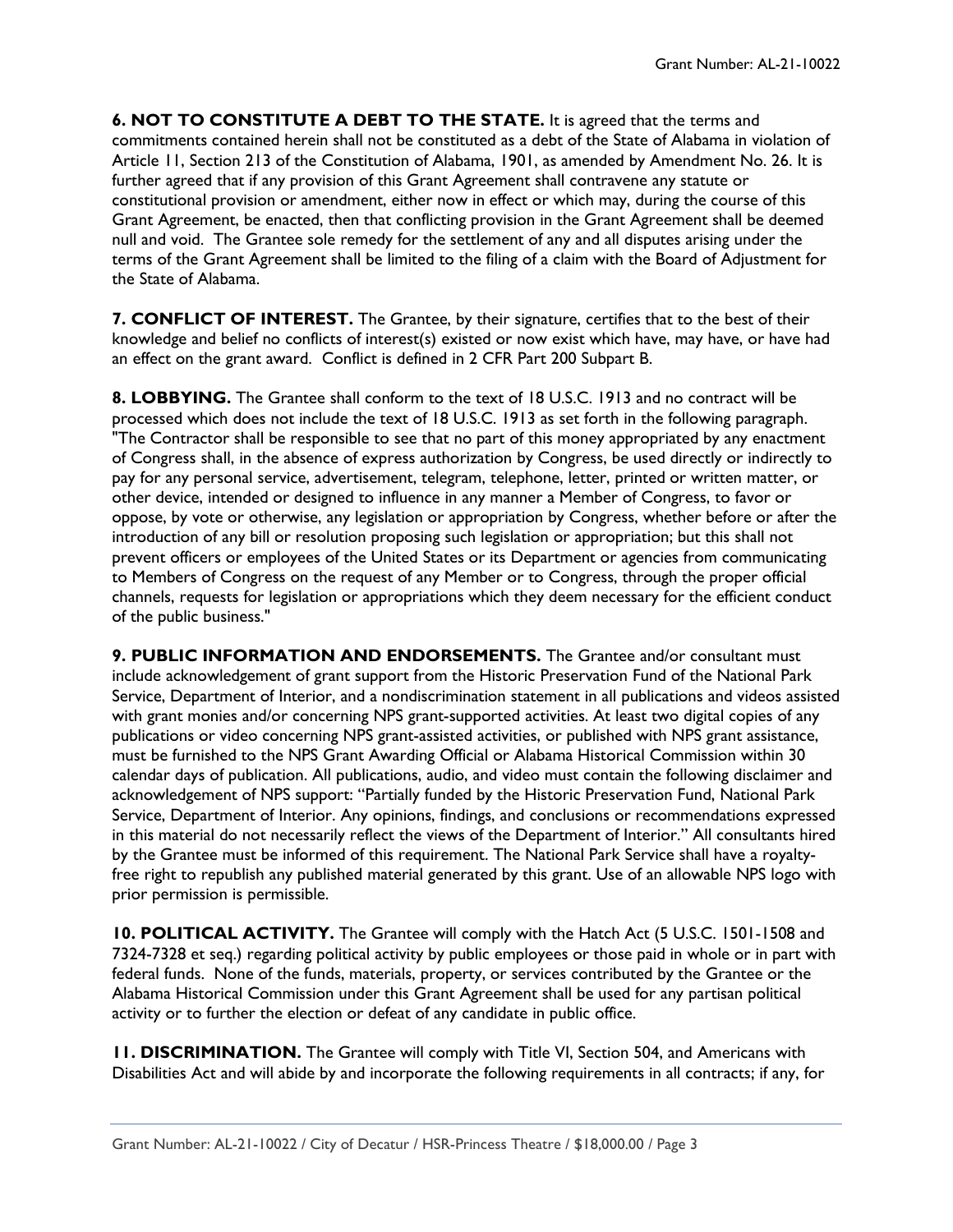**6. NOT TO CONSTITUTE A DEBT TO THE STATE.** It is agreed that the terms and commitments contained herein shall not be constituted as a debt of the State of Alabama in violation of Article 11, Section 213 of the Constitution of Alabama, 1901, as amended by Amendment No. 26. It is further agreed that if any provision of this Grant Agreement shall contravene any statute or constitutional provision or amendment, either now in effect or which may, during the course of this Grant Agreement, be enacted, then that conflicting provision in the Grant Agreement shall be deemed null and void. The Grantee sole remedy for the settlement of any and all disputes arising under the terms of the Grant Agreement shall be limited to the filing of a claim with the Board of Adjustment for the State of Alabama.

**7. CONFLICT OF INTEREST.** The Grantee, by their signature, certifies that to the best of their knowledge and belief no conflicts of interest(s) existed or now exist which have, may have, or have had an effect on the grant award. Conflict is defined in 2 CFR Part 200 Subpart B.

**8. LOBBYING.** The Grantee shall conform to the text of 18 U.S.C. 1913 and no contract will be processed which does not include the text of 18 U.S.C. 1913 as set forth in the following paragraph. "The Contractor shall be responsible to see that no part of this money appropriated by any enactment of Congress shall, in the absence of express authorization by Congress, be used directly or indirectly to pay for any personal service, advertisement, telegram, telephone, letter, printed or written matter, or other device, intended or designed to influence in any manner a Member of Congress, to favor or oppose, by vote or otherwise, any legislation or appropriation by Congress, whether before or after the introduction of any bill or resolution proposing such legislation or appropriation; but this shall not prevent officers or employees of the United States or its Department or agencies from communicating to Members of Congress on the request of any Member or to Congress, through the proper official channels, requests for legislation or appropriations which they deem necessary for the efficient conduct of the public business."

**9. PUBLIC INFORMATION AND ENDORSEMENTS.** The Grantee and/or consultant must include acknowledgement of grant support from the Historic Preservation Fund of the National Park Service, Department of Interior, and a nondiscrimination statement in all publications and videos assisted with grant monies and/or concerning NPS grant-supported activities. At least two digital copies of any publications or video concerning NPS grant-assisted activities, or published with NPS grant assistance, must be furnished to the NPS Grant Awarding Official or Alabama Historical Commission within 30 calendar days of publication. All publications, audio, and video must contain the following disclaimer and acknowledgement of NPS support: "Partially funded by the Historic Preservation Fund, National Park Service, Department of Interior. Any opinions, findings, and conclusions or recommendations expressed in this material do not necessarily reflect the views of the Department of Interior." All consultants hired by the Grantee must be informed of this requirement. The National Park Service shall have a royaltyfree right to republish any published material generated by this grant. Use of an allowable NPS logo with prior permission is permissible.

**10. POLITICAL ACTIVITY.** The Grantee will comply with the Hatch Act (5 U.S.C. 1501-1508 and 7324-7328 et seq.) regarding political activity by public employees or those paid in whole or in part with federal funds. None of the funds, materials, property, or services contributed by the Grantee or the Alabama Historical Commission under this Grant Agreement shall be used for any partisan political activity or to further the election or defeat of any candidate in public office.

**11. DISCRIMINATION.** The Grantee will comply with Title VI, Section 504, and Americans with Disabilities Act and will abide by and incorporate the following requirements in all contracts; if any, for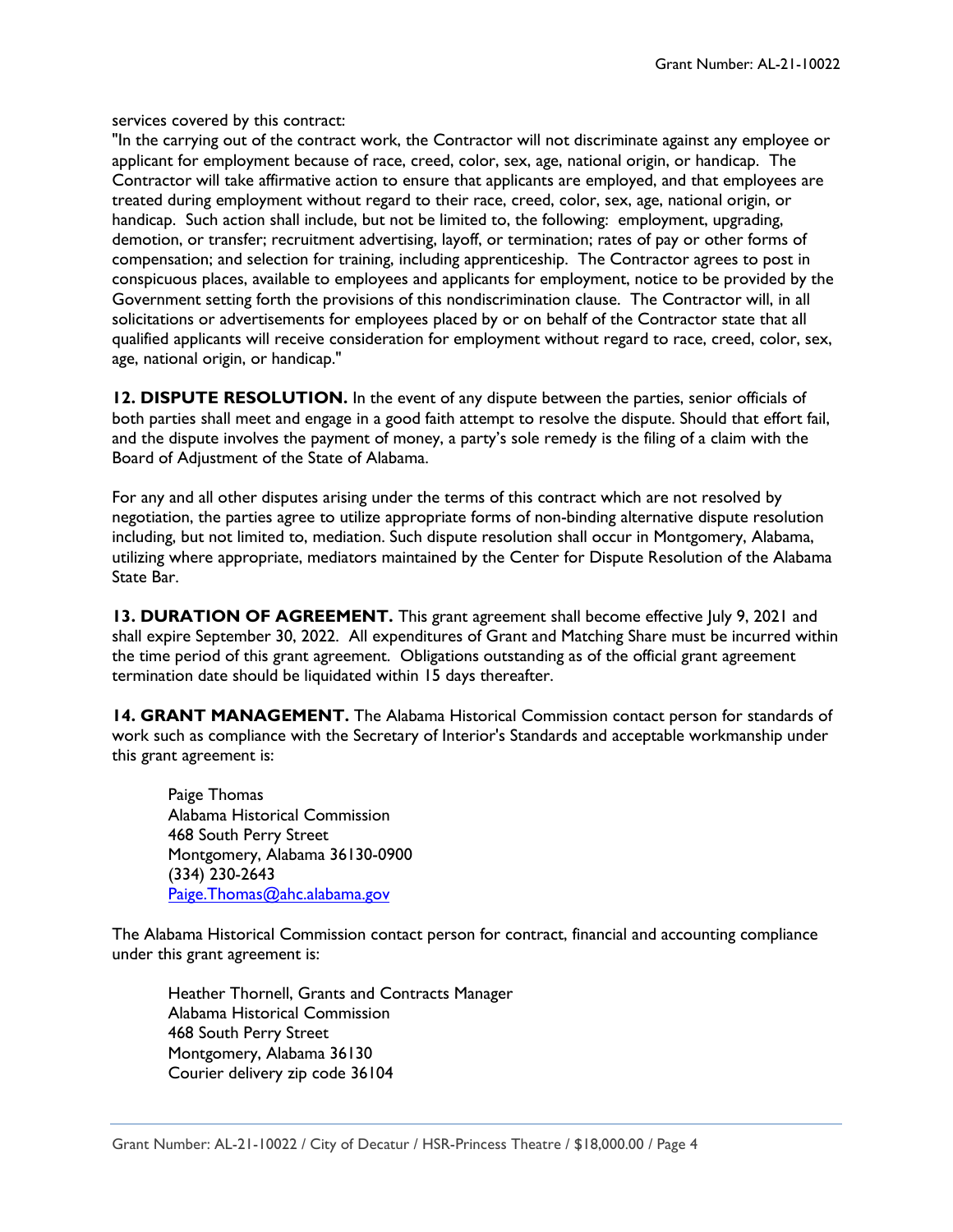services covered by this contract:

"In the carrying out of the contract work, the Contractor will not discriminate against any employee or applicant for employment because of race, creed, color, sex, age, national origin, or handicap. The Contractor will take affirmative action to ensure that applicants are employed, and that employees are treated during employment without regard to their race, creed, color, sex, age, national origin, or handicap. Such action shall include, but not be limited to, the following: employment, upgrading, demotion, or transfer; recruitment advertising, layoff, or termination; rates of pay or other forms of compensation; and selection for training, including apprenticeship. The Contractor agrees to post in conspicuous places, available to employees and applicants for employment, notice to be provided by the Government setting forth the provisions of this nondiscrimination clause. The Contractor will, in all solicitations or advertisements for employees placed by or on behalf of the Contractor state that all qualified applicants will receive consideration for employment without regard to race, creed, color, sex, age, national origin, or handicap."

**12. DISPUTE RESOLUTION.** In the event of any dispute between the parties, senior officials of both parties shall meet and engage in a good faith attempt to resolve the dispute. Should that effort fail, and the dispute involves the payment of money, a party's sole remedy is the filing of a claim with the Board of Adjustment of the State of Alabama.

For any and all other disputes arising under the terms of this contract which are not resolved by negotiation, the parties agree to utilize appropriate forms of non-binding alternative dispute resolution including, but not limited to, mediation. Such dispute resolution shall occur in Montgomery, Alabama, utilizing where appropriate, mediators maintained by the Center for Dispute Resolution of the Alabama State Bar.

**13. DURATION OF AGREEMENT.** This grant agreement shall become effective July 9, 2021 and shall expire September 30, 2022. All expenditures of Grant and Matching Share must be incurred within the time period of this grant agreement. Obligations outstanding as of the official grant agreement termination date should be liquidated within 15 days thereafter.

**14. GRANT MANAGEMENT.** The Alabama Historical Commission contact person for standards of work such as compliance with the Secretary of Interior's Standards and acceptable workmanship under this grant agreement is:

Paige Thomas Alabama Historical Commission 468 South Perry Street Montgomery, Alabama 36130-0900 (334) 230-2643 [Paige.Thomas@ahc.alabama.gov](mailto:Paige.Thomas@ahc.alabama.gov)

The Alabama Historical Commission contact person for contract, financial and accounting compliance under this grant agreement is:

Heather Thornell, Grants and Contracts Manager Alabama Historical Commission 468 South Perry Street Montgomery, Alabama 36130 Courier delivery zip code 36104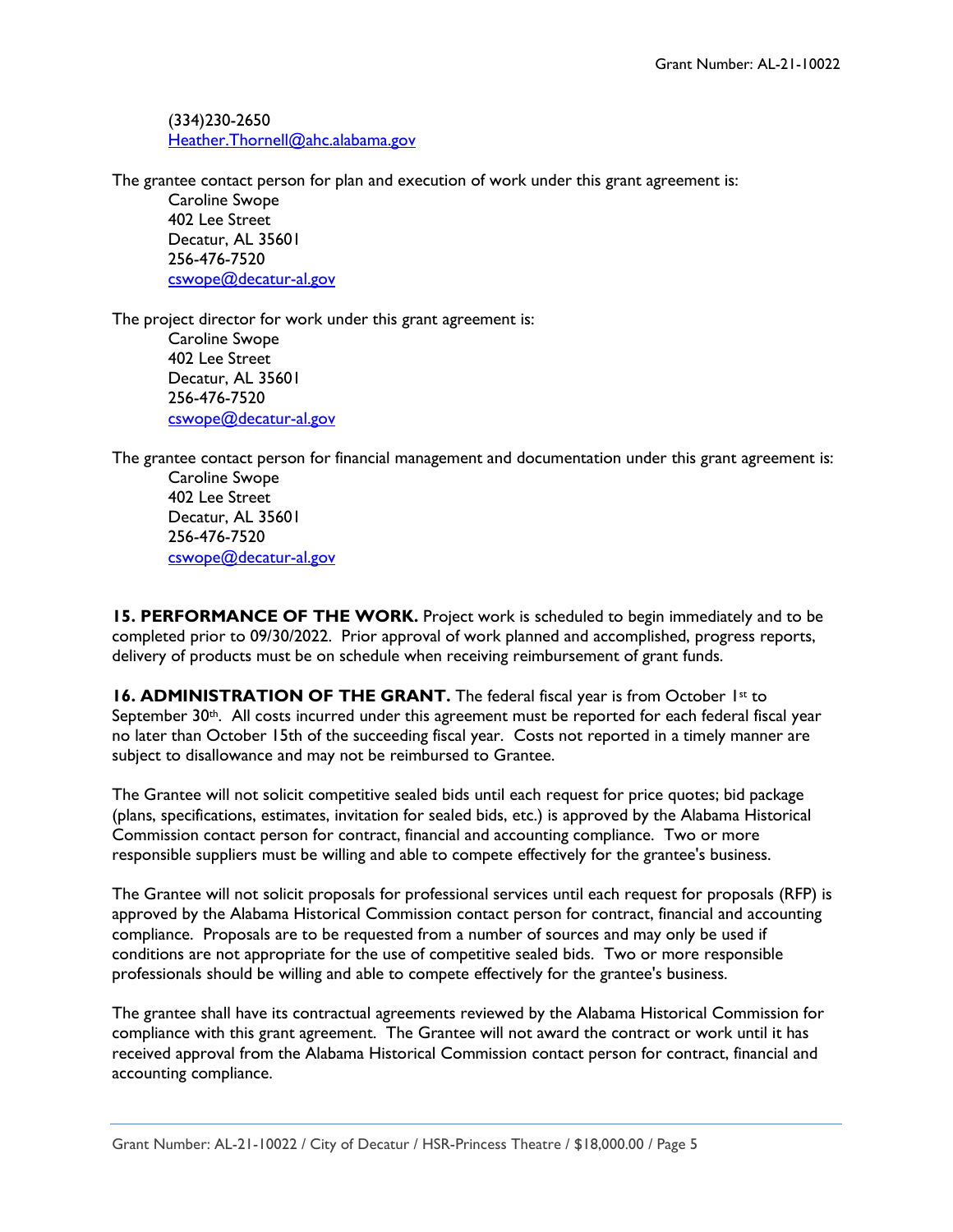(334)230-2650 [Heather.Thornell@ahc.alabama.gov](mailto:Heather.Thornell@ahc.alabama.gov)

The grantee contact person for plan and execution of work under this grant agreement is:

Caroline Swope 402 Lee Street Decatur, AL 35601 256-476-7520 [cswope@decatur-al.gov](mailto:cswope@decatur-al.gov)

The project director for work under this grant agreement is: Caroline Swope 402 Lee Street Decatur, AL 35601 256-476-7520 [cswope@decatur-al.gov](mailto:cswope@decatur-al.gov)

The grantee contact person for financial management and documentation under this grant agreement is:

Caroline Swope 402 Lee Street Decatur, AL 35601 256-476-7520 [cswope@decatur-al.gov](mailto:cswope@decatur-al.gov)

**15. PERFORMANCE OF THE WORK.** Project work is scheduled to begin immediately and to be completed prior to 09/30/2022. Prior approval of work planned and accomplished, progress reports, delivery of products must be on schedule when receiving reimbursement of grant funds.

**16. ADMINISTRATION OF THE GRANT.** The federal fiscal year is from October 1st to September 30<sup>th</sup>. All costs incurred under this agreement must be reported for each federal fiscal year no later than October 15th of the succeeding fiscal year. Costs not reported in a timely manner are subject to disallowance and may not be reimbursed to Grantee.

The Grantee will not solicit competitive sealed bids until each request for price quotes; bid package (plans, specifications, estimates, invitation for sealed bids, etc.) is approved by the Alabama Historical Commission contact person for contract, financial and accounting compliance. Two or more responsible suppliers must be willing and able to compete effectively for the grantee's business.

The Grantee will not solicit proposals for professional services until each request for proposals (RFP) is approved by the Alabama Historical Commission contact person for contract, financial and accounting compliance. Proposals are to be requested from a number of sources and may only be used if conditions are not appropriate for the use of competitive sealed bids. Two or more responsible professionals should be willing and able to compete effectively for the grantee's business.

The grantee shall have its contractual agreements reviewed by the Alabama Historical Commission for compliance with this grant agreement. The Grantee will not award the contract or work until it has received approval from the Alabama Historical Commission contact person for contract, financial and accounting compliance.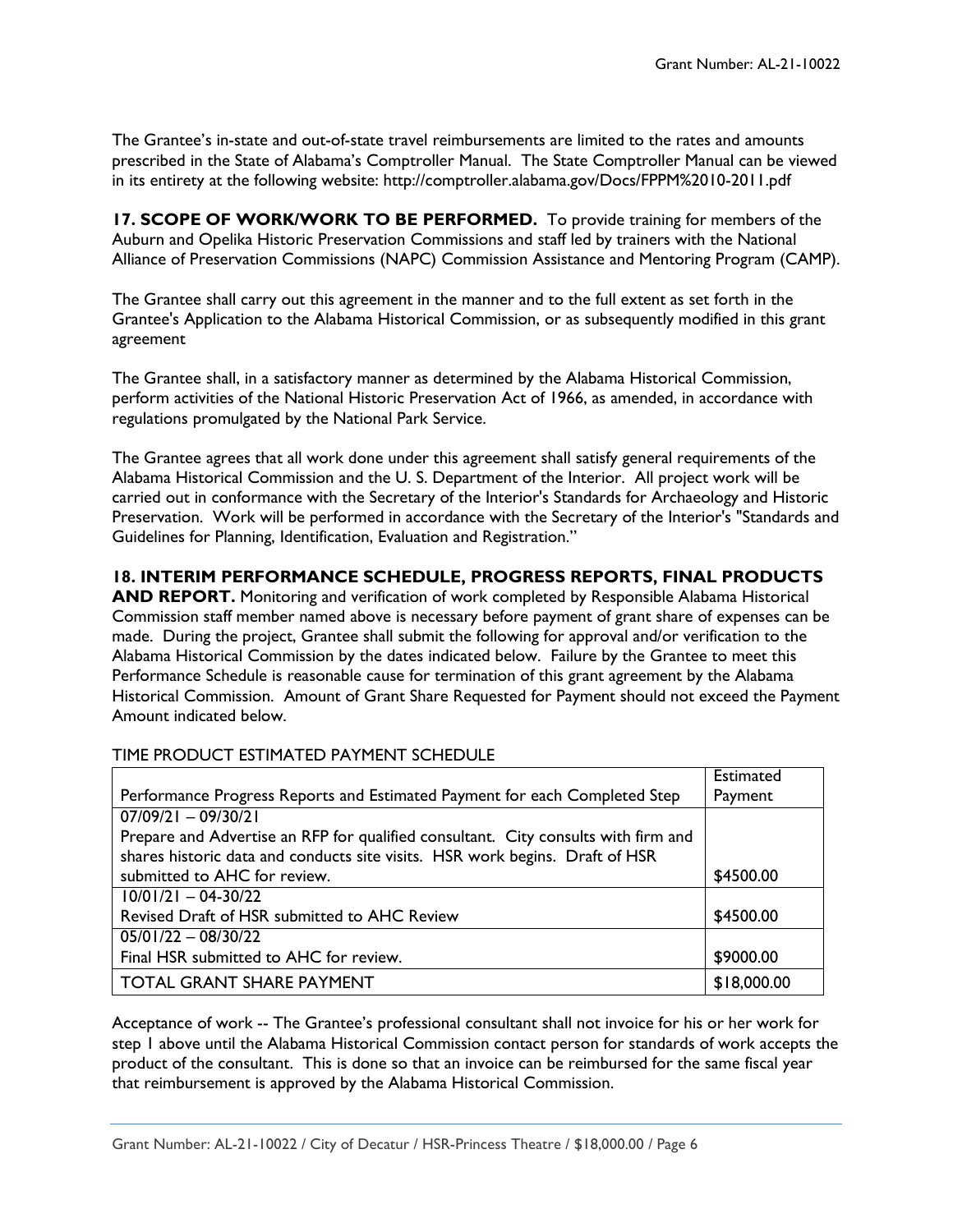The Grantee's in-state and out-of-state travel reimbursements are limited to the rates and amounts prescribed in the State of Alabama's Comptroller Manual. The State Comptroller Manual can be viewed in its entirety at the following website: http://comptroller.alabama.gov/Docs/FPPM%2010-2011.pdf

**17. SCOPE OF WORK/WORK TO BE PERFORMED.** To provide training for members of the Auburn and Opelika Historic Preservation Commissions and staff led by trainers with the National Alliance of Preservation Commissions (NAPC) Commission Assistance and Mentoring Program (CAMP).

The Grantee shall carry out this agreement in the manner and to the full extent as set forth in the Grantee's Application to the Alabama Historical Commission, or as subsequently modified in this grant agreement

The Grantee shall, in a satisfactory manner as determined by the Alabama Historical Commission, perform activities of the National Historic Preservation Act of 1966, as amended, in accordance with regulations promulgated by the National Park Service.

The Grantee agrees that all work done under this agreement shall satisfy general requirements of the Alabama Historical Commission and the U. S. Department of the Interior. All project work will be carried out in conformance with the Secretary of the Interior's Standards for Archaeology and Historic Preservation. Work will be performed in accordance with the Secretary of the Interior's "Standards and Guidelines for Planning, Identification, Evaluation and Registration."

## **18. INTERIM PERFORMANCE SCHEDULE, PROGRESS REPORTS, FINAL PRODUCTS**

**AND REPORT.** Monitoring and verification of work completed by Responsible Alabama Historical Commission staff member named above is necessary before payment of grant share of expenses can be made. During the project, Grantee shall submit the following for approval and/or verification to the Alabama Historical Commission by the dates indicated below. Failure by the Grantee to meet this Performance Schedule is reasonable cause for termination of this grant agreement by the Alabama Historical Commission. Amount of Grant Share Requested for Payment should not exceed the Payment Amount indicated below.

|                                                                                    | <b>Estimated</b> |
|------------------------------------------------------------------------------------|------------------|
| Performance Progress Reports and Estimated Payment for each Completed Step         | Payment          |
| $07/09/21 - 09/30/21$                                                              |                  |
| Prepare and Advertise an RFP for qualified consultant. City consults with firm and |                  |
| shares historic data and conducts site visits. HSR work begins. Draft of HSR       |                  |
| submitted to AHC for review.                                                       | \$4500.00        |
| $10/01/21 - 04-30/22$                                                              |                  |
| Revised Draft of HSR submitted to AHC Review                                       | \$4500.00        |
| $05/01/22 - 08/30/22$                                                              |                  |
| Final HSR submitted to AHC for review.                                             | \$9000.00        |
| <b>TOTAL GRANT SHARE PAYMENT</b>                                                   | \$18,000.00      |

### TIME PRODUCT ESTIMATED PAYMENT SCHEDULE

Acceptance of work -- The Grantee's professional consultant shall not invoice for his or her work for step 1 above until the Alabama Historical Commission contact person for standards of work accepts the product of the consultant. This is done so that an invoice can be reimbursed for the same fiscal year that reimbursement is approved by the Alabama Historical Commission.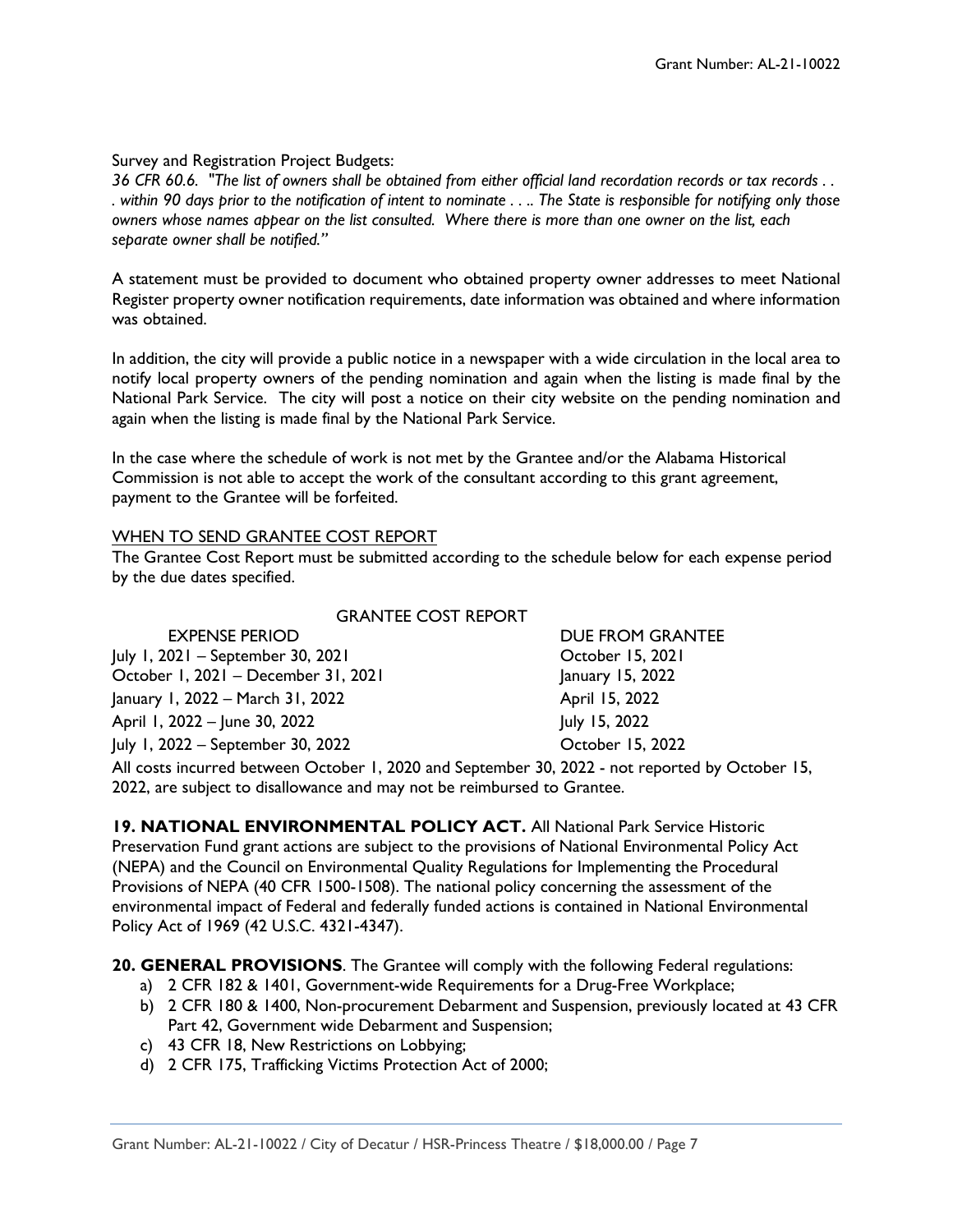## Survey and Registration Project Budgets:

*36 CFR 60.6. "The list of owners shall be obtained from either official land recordation records or tax records . . . within 90 days prior to the notification of intent to nominate . . .. The State is responsible for notifying only those owners whose names appear on the list consulted. Where there is more than one owner on the list, each separate owner shall be notified."*

A statement must be provided to document who obtained property owner addresses to meet National Register property owner notification requirements, date information was obtained and where information was obtained.

In addition, the city will provide a public notice in a newspaper with a wide circulation in the local area to notify local property owners of the pending nomination and again when the listing is made final by the National Park Service. The city will post a notice on their city website on the pending nomination and again when the listing is made final by the National Park Service.

In the case where the schedule of work is not met by the Grantee and/or the Alabama Historical Commission is not able to accept the work of the consultant according to this grant agreement, payment to the Grantee will be forfeited.

## WHEN TO SEND GRANTEE COST REPORT

The Grantee Cost Report must be submitted according to the schedule below for each expense period by the due dates specified.

| 900 1910 2011 112                   |                  |
|-------------------------------------|------------------|
| <b>EXPENSE PERIOD</b>               | DUE FROM GRANTEE |
| July 1, 2021 - September 30, 2021   | October 15, 2021 |
| October 1, 2021 - December 31, 2021 | January 15, 2022 |
| January 1, 2022 – March 31, 2022    | April 15, 2022   |
| April 1, 2022 – June 30, 2022       | July 15, 2022    |
| July 1, 2022 - September 30, 2022   | October 15, 2022 |
|                                     |                  |

GRANTEE COST REPORT

All costs incurred between October 1, 2020 and September 30, 2022 - not reported by October 15, 2022, are subject to disallowance and may not be reimbursed to Grantee.

**19. NATIONAL ENVIRONMENTAL POLICY ACT.** All National Park Service Historic Preservation Fund grant actions are subject to the provisions of National Environmental Policy Act (NEPA) and the Council on Environmental Quality Regulations for Implementing the Procedural Provisions of NEPA (40 CFR 1500-1508). The national policy concerning the assessment of the environmental impact of Federal and federally funded actions is contained in National Environmental Policy Act of 1969 (42 U.S.C. 4321-4347).

**20. GENERAL PROVISIONS**. The Grantee will comply with the following Federal regulations:

- a) 2 CFR 182 & 1401, Government-wide Requirements for a Drug-Free Workplace;
- b) 2 CFR 180 & 1400, Non-procurement Debarment and Suspension, previously located at 43 CFR Part 42, Government wide Debarment and Suspension;
- c) 43 CFR 18, New Restrictions on Lobbying;
- d) 2 CFR 175, Trafficking Victims Protection Act of 2000;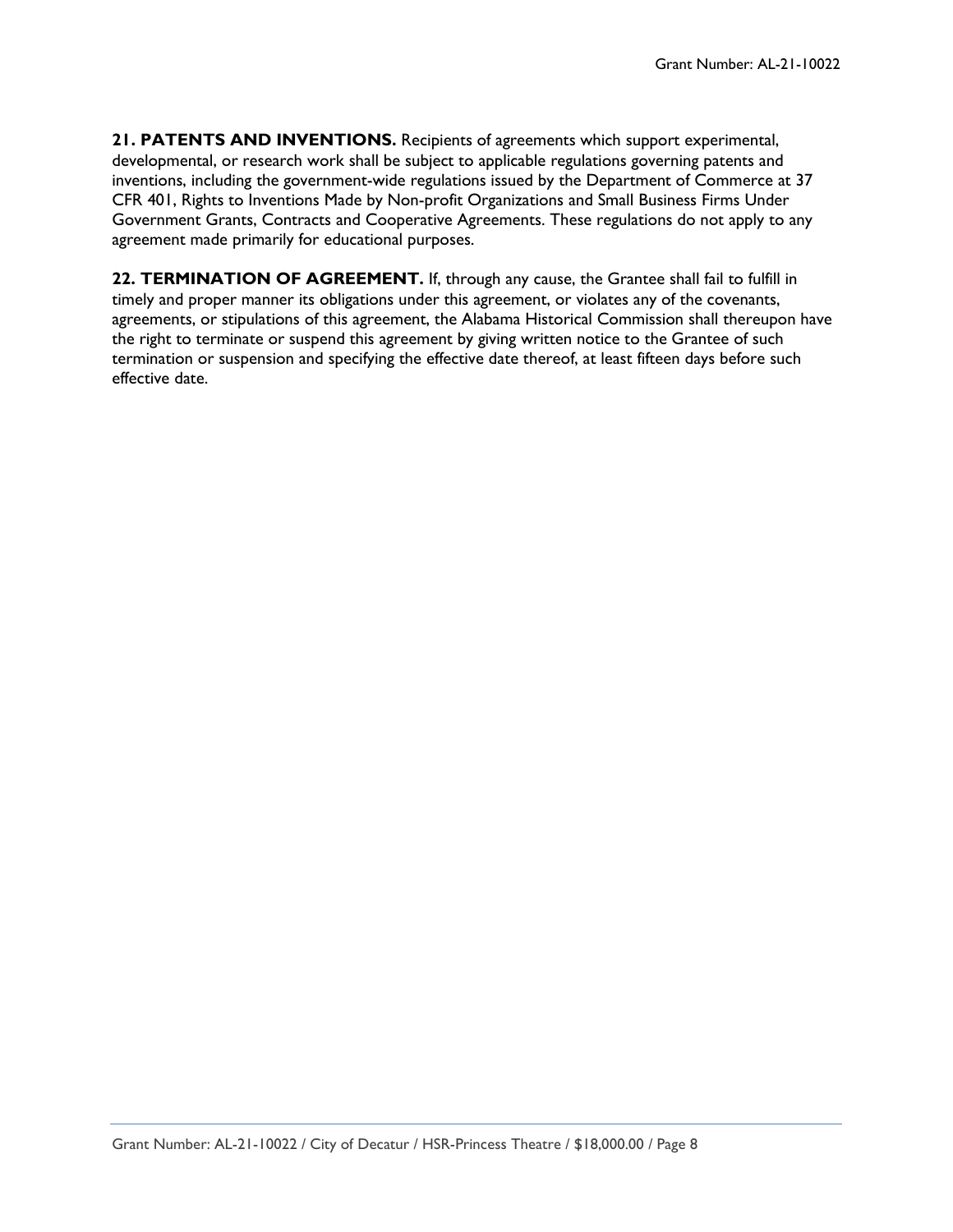**21. PATENTS AND INVENTIONS.** Recipients of agreements which support experimental, developmental, or research work shall be subject to applicable regulations governing patents and inventions, including the government-wide regulations issued by the Department of Commerce at 37 CFR 401, Rights to Inventions Made by Non-profit Organizations and Small Business Firms Under Government Grants, Contracts and Cooperative Agreements. These regulations do not apply to any agreement made primarily for educational purposes.

**22. TERMINATION OF AGREEMENT.** If, through any cause, the Grantee shall fail to fulfill in timely and proper manner its obligations under this agreement, or violates any of the covenants, agreements, or stipulations of this agreement, the Alabama Historical Commission shall thereupon have the right to terminate or suspend this agreement by giving written notice to the Grantee of such termination or suspension and specifying the effective date thereof, at least fifteen days before such effective date.